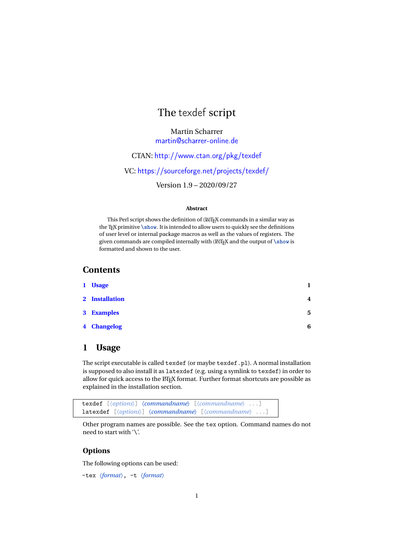# The texdef script

Martin Scharrer [martin@scharrer-online.de](mailto:martin@scharrer-online.de)

CTAN: <http://www.ctan.org/pkg/texdef>

VC: <https://sourceforge.net/projects/texdef/>

Version 1.9 – 2020/09/27

#### **Abstract**

This Perl script shows the definition of (LA)TEX commands in a similar way as the T<sub>E</sub>X primitive **\show**. It is intended to allow users to quickly see the definitions of user level or internal package macros as well as the values of registers. The given commands are compiled internally with (LA)T<sub>E</sub>X and the output of **\show** is formatted and shown to the user.

# **Contents**

| 1 Usage        |                |
|----------------|----------------|
| 2 Installation | $\overline{4}$ |
| 3 Examples     | 5              |
| 4 Changelog    | 6              |

# <span id="page-0-0"></span>**1 Usage**

The script executable is called texdef (or maybe texdef.pl). A normal installation is supposed to also install it as latexdef (e.g. using a symlink to texdef) in order to allow for quick access to the ETEX format. Further format shortcuts are possible as explained in the installation section.



Other program names are possible. See the tex option. Command names do not need to start with '\'.

# **Options**

The following options can be used:

```
–tex 〈format〉, -t 〈format〉
```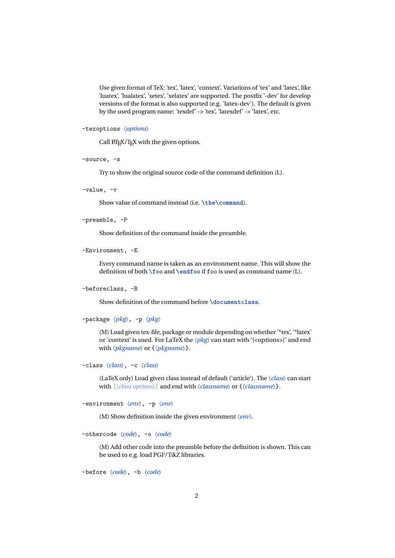Use given format of TeX: 'tex', 'latex', 'context'. Variations of 'tex' and 'latex', like 'luatex', 'lualatex', 'xetex', 'xelatex' are supported. The postfix '-dev' for develop versions of the format is also supported (e.g. 'latex-dev'). The default is given by the used program name: 'texdef' -> 'tex', 'latexdef' -> 'latex', etc.

```
–texoptions 〈options〉
```
Call LATEX/TEX with the given options.

–source, -s

Try to show the original source code of the command definition (L).

–value, -v

Show value of command instead (i.e. \the\command).

```
–preamble, -P
```
Show definition of the command inside the preamble.

–Environment, -E

Every command name is taken as an environment name. This will show the definition of both **\foo** and **\endfoo** if foo is used as command name (L).

```
–beforeclass, -B
```
Show definition of the command before **\documentclass**.

–package 〈*pkg*〉, -p 〈*pkg*〉

(M) Load given tex-file, package or module depending on whether '\*tex', '\*latex' or 'context' is used. For LaTeX the  $\langle pkg \rangle$  can start with '[<options>]' and end with 〈*pkgname*〉 or {〈*pkgname*〉}.

```
–class 〈class〉, -c 〈class〉
```
(LaTeX only) Load given class instead of default ('article'). The 〈*class*〉 can start with  $[\langle class options \rangle]$  and end with  $\langle classname \rangle$  or  $\{\langle classname \rangle\}.$ 

```
–environment 〈env〉, -p 〈env〉
```
(M) Show definition inside the given environment 〈*env*〉.

–othercode 〈*code*〉, -o 〈*code*〉

(M) Add other code into the preamble before the definition is shown. This can be used to e.g. load PGF/TikZ libraries.

–before 〈*code*〉, -b 〈*code*〉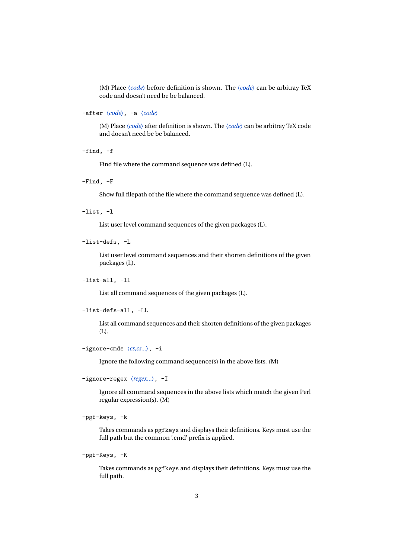(M) Place 〈*code*〉 before definition is shown. The 〈*code*〉 can be arbitray TeX code and doesn't need be be balanced.

–after 〈*code*〉, -a 〈*code*〉

(M) Place 〈*code*〉 after definition is shown. The 〈*code*〉 can be arbitray TeX code and doesn't need be be balanced.

–find, -f

Find file where the command sequence was defined (L).

–Find, -F

Show full filepath of the file where the command sequence was defined (L).

–list, -l

List user level command sequences of the given packages (L).

–list-defs, -L

List user level command sequences and their shorten definitions of the given packages (L).

–list-all, -ll

List all command sequences of the given packages (L).

```
–list-defs-all, -LL
```
List all command sequences and their shorten definitions of the given packages (L).

```
–ignore-cmds 〈cs,cs,..〉, -i
```
Ignore the following command sequence(s) in the above lists. (M)

```
–ignore-regex 〈regex,..〉, -I
```
Ignore all command sequences in the above lists which match the given Perl regular expression(s). (M)

–pgf-keys, -k

Takes commands as pgfkeys and displays their definitions. Keys must use the full path but the common '.cmd' prefix is applied.

–pgf-Keys, -K

Takes commands as pgfkeys and displays their definitions. Keys must use the full path.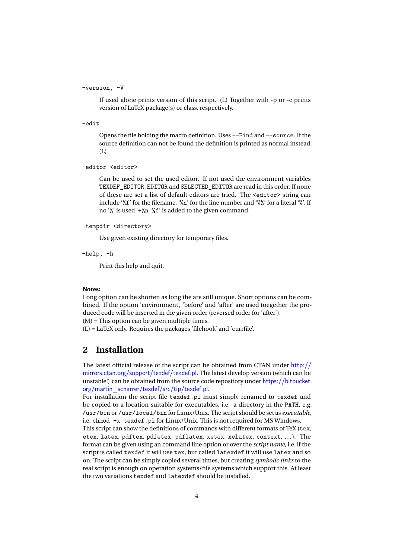#### –version, -V

If used alone prints version of this script. (L) Together with -p or -c prints version of LaTeX package(s) or class, respectively.

–edit

Opens the file holding the macro definition. Uses --Find and --source. If the source definition can not be found the definition is printed as normal instead. (L)

–editor <editor>

Can be used to set the used editor. If not used the environment variables TEXDEF\_EDITOR, EDITOR and SELECTED\_EDITOR are read in this order. If none of these are set a list of default editors are tried. The <editor> string can include '%f' for the filename, '%n' for the line number and '%%' for a literal '%'. If no '%' is used '+%n %f' is added to the given command.

```
–tempdir <directory>
```
Use given existing directory for temporary files.

–help, -h

Print this help and quit.

#### **Notes:**

Long option can be shorten as long the are still unique. Short options can be combined. If the option 'environment', 'before' and 'after' are used toegether the produced code will be inserted in the given order (reversed order for 'after'). (M) = This option can be given multiple times.

(L) = LaTeX only. Requires the packages 'filehook' and 'currfile'.

# <span id="page-3-0"></span>**2 Installation**

The latest official release of the script can be obtained from CTAN under [http://](http://mirrors.ctan.org/support/texdef/texdef.pl) [mirrors.ctan.org/support/texdef/texdef.pl](http://mirrors.ctan.org/support/texdef/texdef.pl). The latest develop version (which can be unstable!) can be obtained from the source code repository under [https://bitbucket.](https://bitbucket.org/martin_scharrer/texdef/src/tip/texdef.pl) [org/martin\\_scharrer/texdef/src/tip/texdef.pl](https://bitbucket.org/martin_scharrer/texdef/src/tip/texdef.pl).

For installation the script file texdef.pl must simply renamed to texdef and be copied to a location suitable for executables, i.e. a directory in the PATH, e.g. /usr/bin or /usr/local/bin for Linux/Unix. The script should be set as *executable*, i.e. chmod +x texdef.pl for Linux/Unix. This is not required for MS Windows.

This script can show the definitions of commands with different formats of TeX (tex, etex, latex, pdftex, pdfetex, pdflatex, xetex, xelatex, context, ...). The format can be given using an command line option or over the *script name*, i.e. if the script is called texdef it will use tex, but called latexdef it will use latex and so on. The script can be simply copied several times, but creating *symbolic links* to the real script is enough on operation systems/file systems which support this. At least the two variations texdef and latexdef should be installed.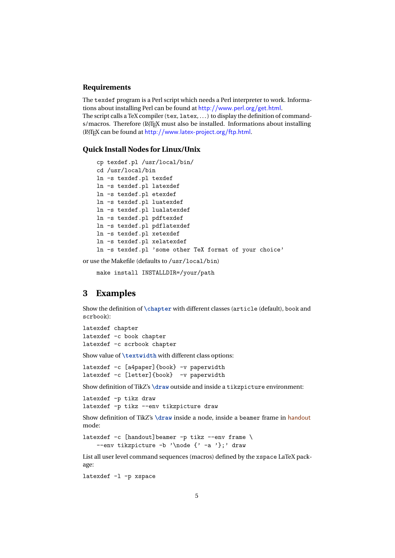#### **Requirements**

The texdef program is a Perl script which needs a Perl interpreter to work. Informations about installing Perl can be found at <http://www.perl.org/get.html>. The script calls a TeX compiler (tex, latex, . . . ) to display the definition of commands/macros. Therefore (LA)T<sub>EX</sub> must also be installed. Informations about installing (LA)TEX can be found at <http://www.latex-project.org/ftp.html>.

#### **Quick Install Nodes for Linux/Unix**

```
cp texdef.pl /usr/local/bin/
cd /usr/local/bin
ln -s texdef.pl texdef
ln -s texdef.pl latexdef
ln -s texdef.pl etexdef
ln -s texdef.pl luatexdef
ln -s texdef.pl lualatexdef
ln -s texdef.pl pdftexdef
ln -s texdef.pl pdflatexdef
ln -s texdef.pl xetexdef
ln -s texdef.pl xelatexdef
ln -s texdef.pl 'some other TeX format of your choice'
```
or use the Makefile (defaults to /usr/local/bin)

make install INSTALLDIR=/your/path

# <span id="page-4-0"></span>**3 Examples**

Show the definition of **\chapter** with different classes (article (default), book and scrbook):

latexdef chapter latexdef -c book chapter latexdef -c scrbook chapter

Show value of **\textwidth** with different class options:

latexdef -c [a4paper]{book} -v paperwidth latexdef -c [letter]{book} -v paperwidth

Show definition of TikZ's \draw outside and inside a tikzpicture environment:

```
latexdef -p tikz draw
latexdef -p tikz --env tikzpicture draw
```
Show definition of TikZ's **\draw** inside a node, inside a beamer frame in handout mode:

```
latexdef -c [handout]beamer -p tikz --env frame \
    --env tikzpicture -b '\node {' -a '};' draw
```
List all user level command sequences (macros) defined by the xspace LaTeX package:

latexdef -l -p xspace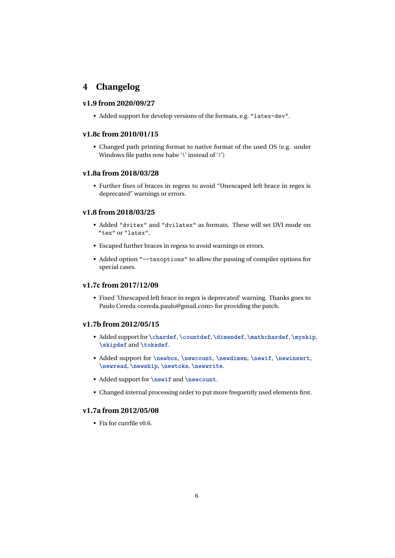# <span id="page-5-0"></span>**4 Changelog**

### **v1.9 from 2020/09/27**

• Added support for develop versions of the formats, e.g. "latex-dev".

### **v1.8c from 2010/01/15**

• Changed path printing format to native format of the used OS (e.g. under Windows file paths now habe '\' instead of '/')

### **v1.8a from 2018/03/28**

• Further fixes of braces in regexs to avoid "Unescaped left brace in regex is deprecated" warnings or errors.

#### **v1.8 from 2018/03/25**

- Added "dvitex" and "dvilatex" as formats. These will set DVI mode on "tex" or "latex".
- Escaped further braces in regexs to avoid warnings or errors.
- Added option "--texoptions" to allow the passing of compiler options for special cases.

### **v1.7c from 2017/12/09**

• Fixed 'Unescaped left brace in regex is deprecated' warning. Thanks goes to Paulo Cereda <cereda.paulo@gmail.com> for providing the patch.

## **v1.7b from 2012/05/15**

- Added support for **\chardef**, **\countdef**, **\dimendef**, **\mathchardef**, **\myskip**, **\skipdef** and **\toksdef**.
- Added support for **\newbox**, **\newcount**, **\newdimen**, **\newif**, **\newinsert**, **\newread**, **\newskip**, **\newtoks**, **\newwrite**.
- Added support for **\newif** and **\newcount**.
- Changed internal processing order to put more frequently used elements first.

### **v1.7a from 2012/05/08**

• Fix for currfile v0.6.